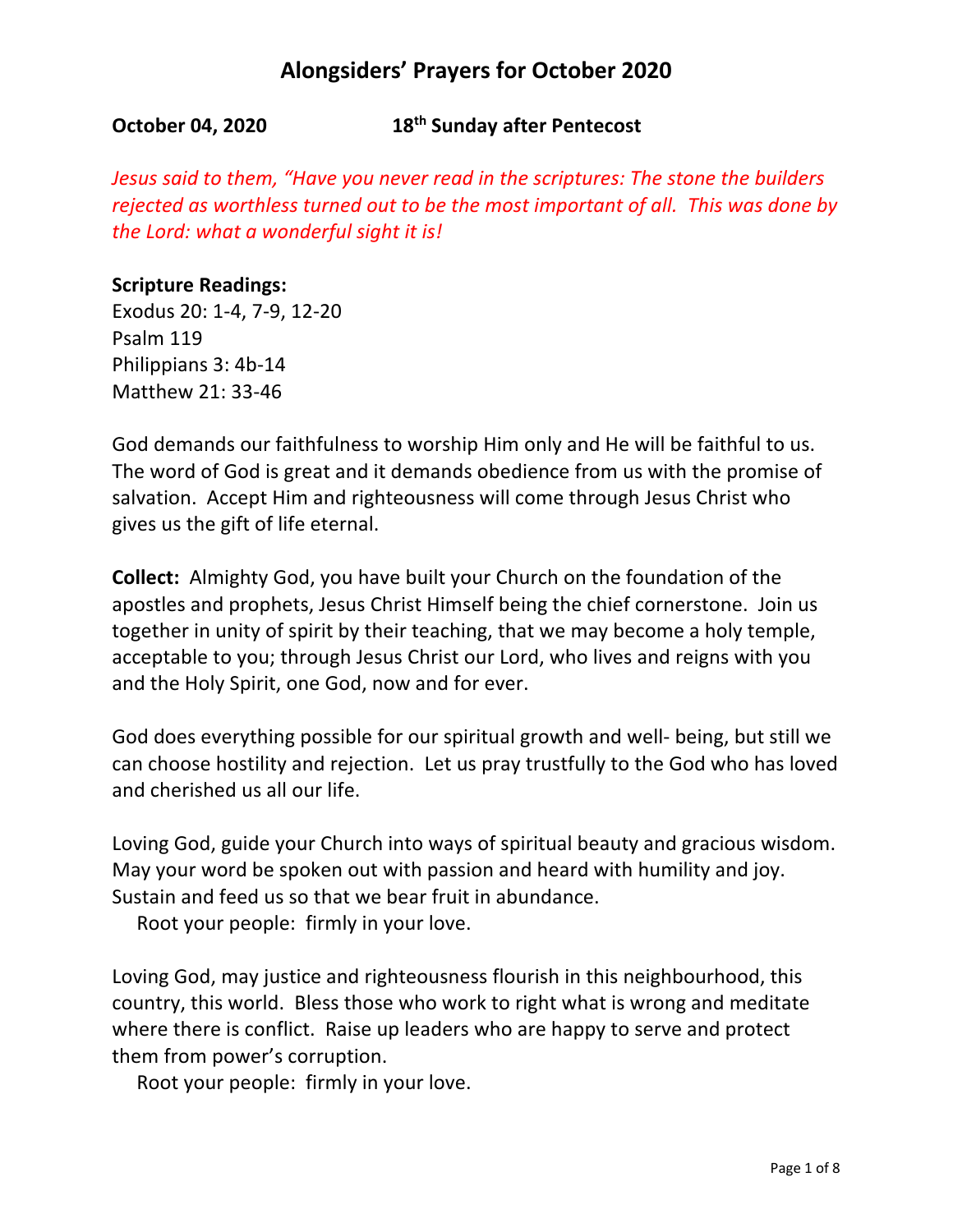**October 04, 2020 18th Sunday after Pentecost**

*Jesus said to them, "Have you never read in the scriptures: The stone the builders rejected as worthless turned out to be the most important of all. This was done by the Lord: what a wonderful sight it is!*

### **Scripture Readings:**

Exodus 20: 1-4, 7-9, 12-20 Psalm 119 Philippians 3: 4b-14 Matthew 21: 33-46

God demands our faithfulness to worship Him only and He will be faithful to us. The word of God is great and it demands obedience from us with the promise of salvation. Accept Him and righteousness will come through Jesus Christ who gives us the gift of life eternal.

**Collect:** Almighty God, you have built your Church on the foundation of the apostles and prophets, Jesus Christ Himself being the chief cornerstone. Join us together in unity of spirit by their teaching, that we may become a holy temple, acceptable to you; through Jesus Christ our Lord, who lives and reigns with you and the Holy Spirit, one God, now and for ever.

God does everything possible for our spiritual growth and well- being, but still we can choose hostility and rejection. Let us pray trustfully to the God who has loved and cherished us all our life.

Loving God, guide your Church into ways of spiritual beauty and gracious wisdom. May your word be spoken out with passion and heard with humility and joy. Sustain and feed us so that we bear fruit in abundance.

Root your people: firmly in your love.

Loving God, may justice and righteousness flourish in this neighbourhood, this country, this world. Bless those who work to right what is wrong and meditate where there is conflict. Raise up leaders who are happy to serve and protect them from power's corruption.

Root your people: firmly in your love.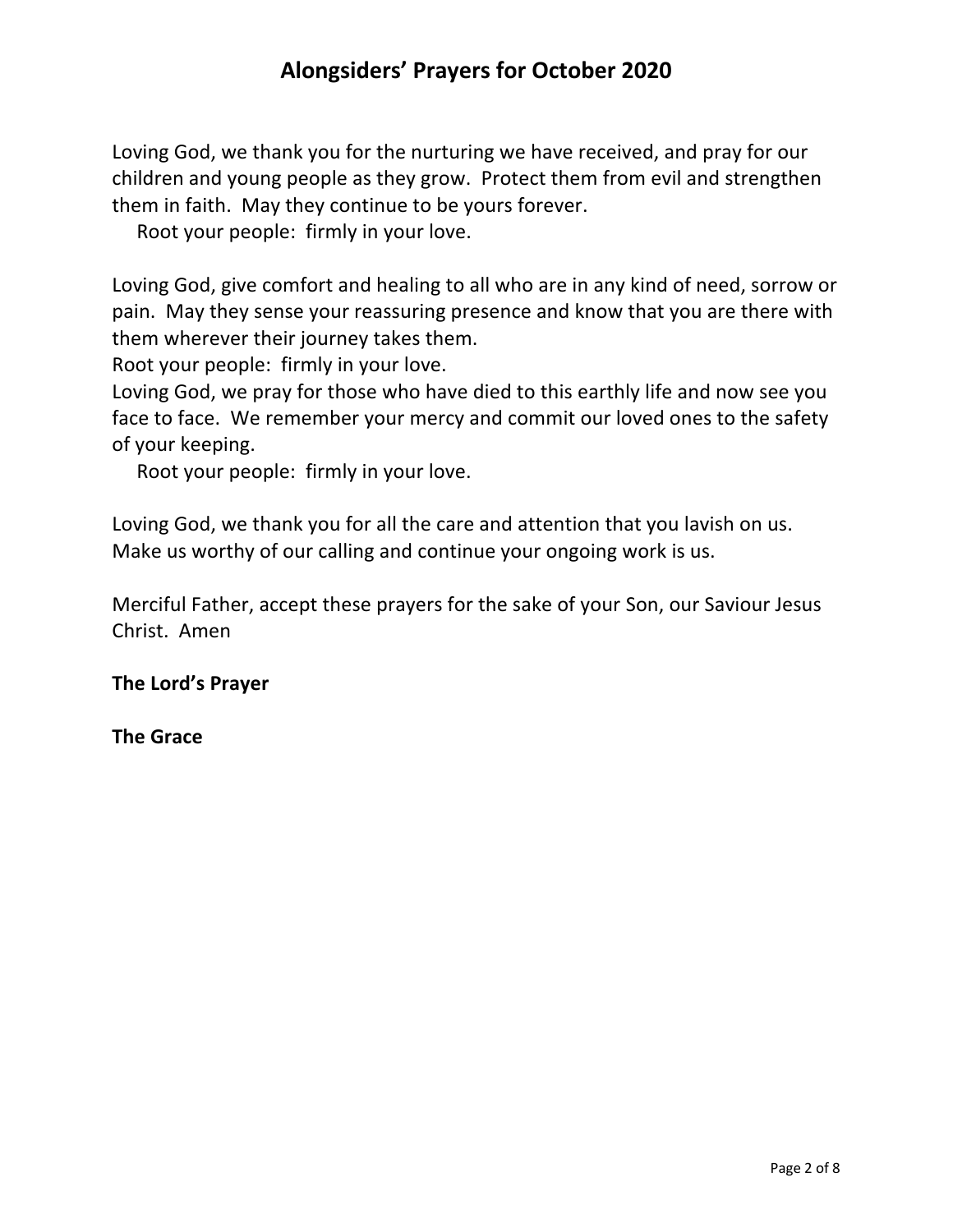Loving God, we thank you for the nurturing we have received, and pray for our children and young people as they grow. Protect them from evil and strengthen them in faith. May they continue to be yours forever.

Root your people: firmly in your love.

Loving God, give comfort and healing to all who are in any kind of need, sorrow or pain. May they sense your reassuring presence and know that you are there with them wherever their journey takes them.

Root your people: firmly in your love.

Loving God, we pray for those who have died to this earthly life and now see you face to face. We remember your mercy and commit our loved ones to the safety of your keeping.

Root your people: firmly in your love.

Loving God, we thank you for all the care and attention that you lavish on us. Make us worthy of our calling and continue your ongoing work is us.

Merciful Father, accept these prayers for the sake of your Son, our Saviour Jesus Christ. Amen

**The Lord's Prayer**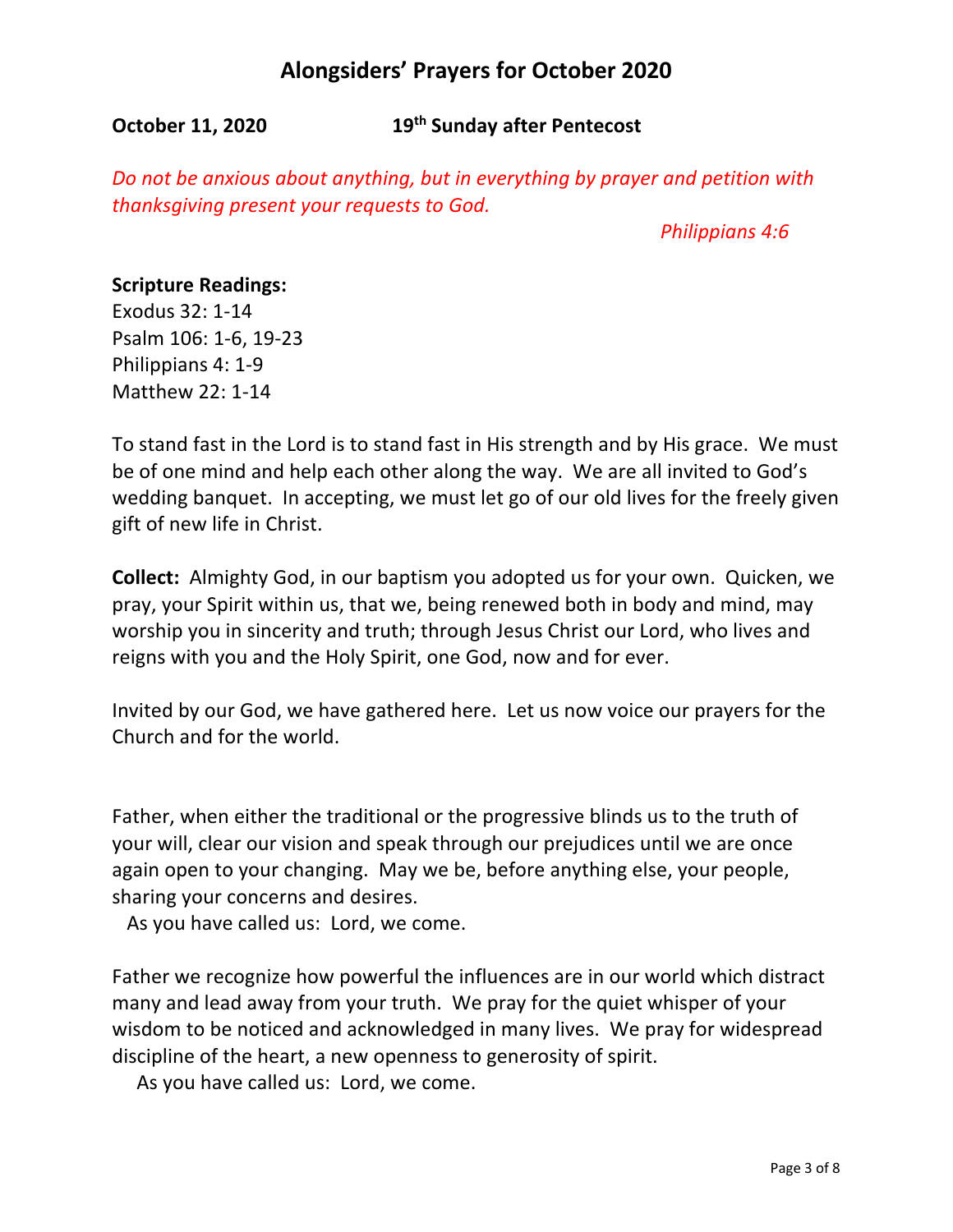**October 11, 2020 19th Sunday after Pentecost**

*Do not be anxious about anything, but in everything by prayer and petition with thanksgiving present your requests to God.*

 *Philippians 4:6*

#### **Scripture Readings:**

Exodus 32: 1-14 Psalm 106: 1-6, 19-23 Philippians 4: 1-9 Matthew 22: 1-14

To stand fast in the Lord is to stand fast in His strength and by His grace. We must be of one mind and help each other along the way. We are all invited to God's wedding banquet. In accepting, we must let go of our old lives for the freely given gift of new life in Christ.

**Collect:** Almighty God, in our baptism you adopted us for your own. Quicken, we pray, your Spirit within us, that we, being renewed both in body and mind, may worship you in sincerity and truth; through Jesus Christ our Lord, who lives and reigns with you and the Holy Spirit, one God, now and for ever.

Invited by our God, we have gathered here. Let us now voice our prayers for the Church and for the world.

Father, when either the traditional or the progressive blinds us to the truth of your will, clear our vision and speak through our prejudices until we are once again open to your changing. May we be, before anything else, your people, sharing your concerns and desires.

As you have called us: Lord, we come.

Father we recognize how powerful the influences are in our world which distract many and lead away from your truth. We pray for the quiet whisper of your wisdom to be noticed and acknowledged in many lives. We pray for widespread discipline of the heart, a new openness to generosity of spirit.

As you have called us: Lord, we come.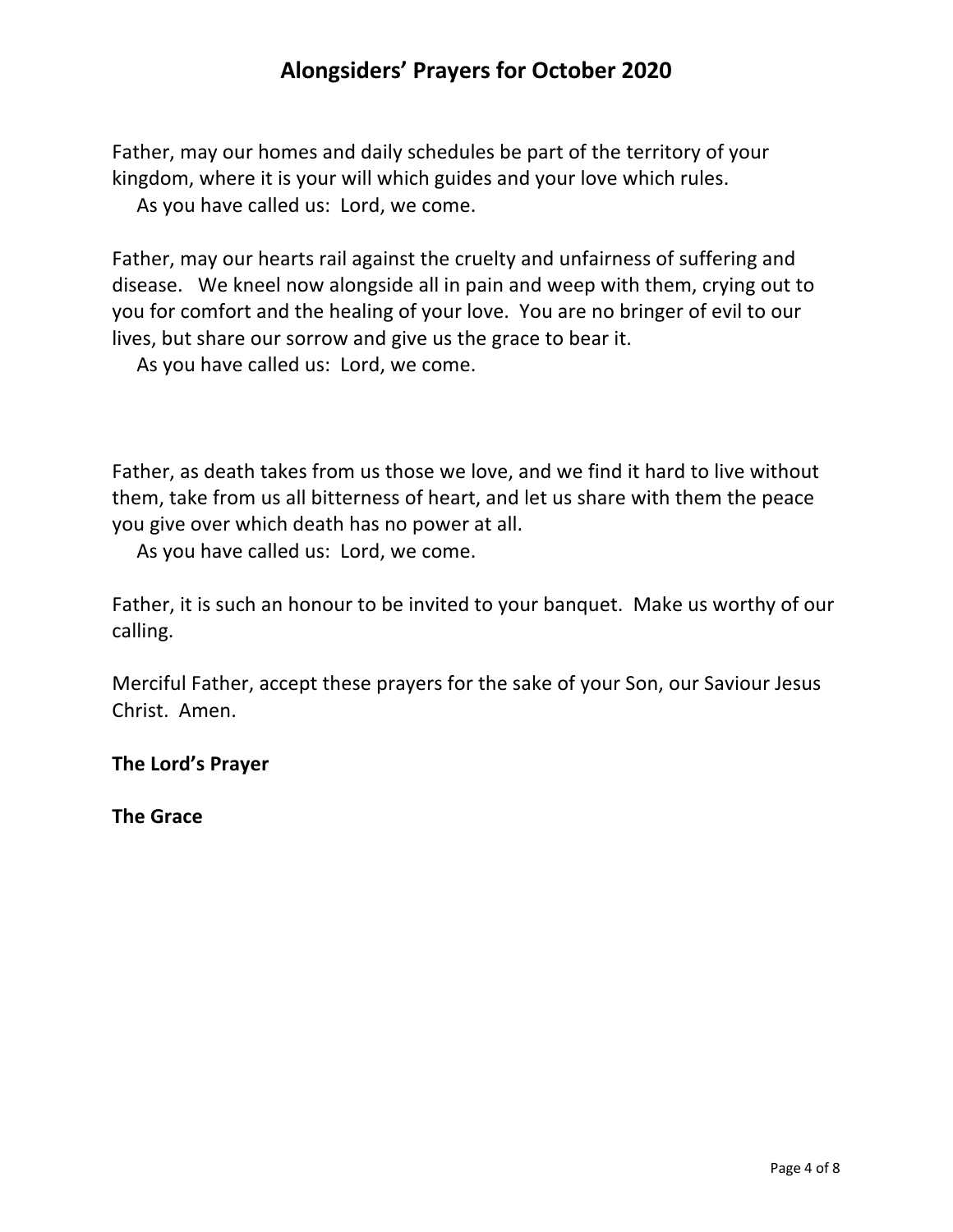Father, may our homes and daily schedules be part of the territory of your kingdom, where it is your will which guides and your love which rules. As you have called us: Lord, we come.

Father, may our hearts rail against the cruelty and unfairness of suffering and disease. We kneel now alongside all in pain and weep with them, crying out to you for comfort and the healing of your love. You are no bringer of evil to our lives, but share our sorrow and give us the grace to bear it.

As you have called us: Lord, we come.

Father, as death takes from us those we love, and we find it hard to live without them, take from us all bitterness of heart, and let us share with them the peace you give over which death has no power at all.

As you have called us: Lord, we come.

Father, it is such an honour to be invited to your banquet. Make us worthy of our calling.

Merciful Father, accept these prayers for the sake of your Son, our Saviour Jesus Christ. Amen.

**The Lord's Prayer**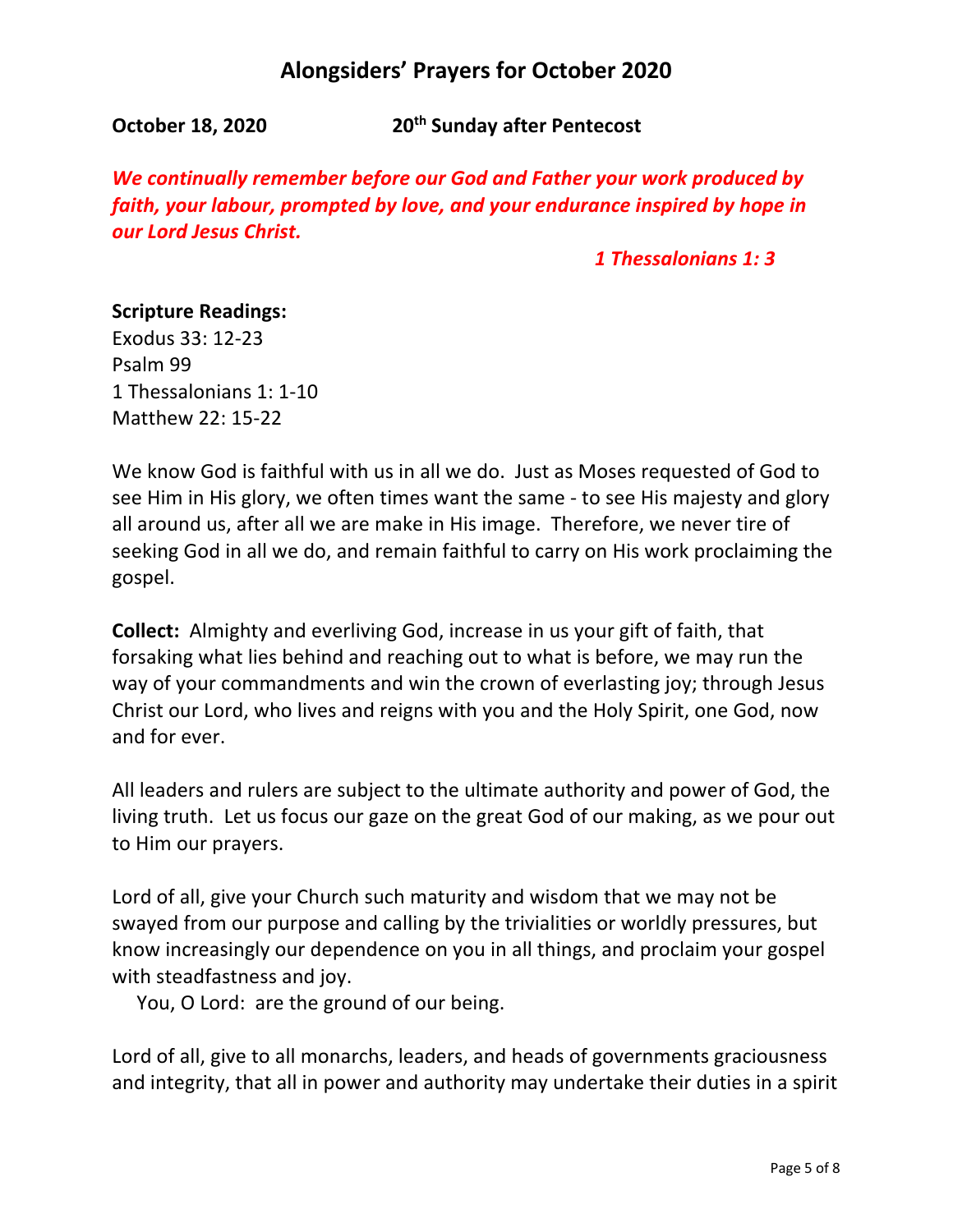**October 18, 2020 20<sup>th</sup> Sunday after Pentecost** 

*We continually remember before our God and Father your work produced by faith, your labour, prompted by love, and your endurance inspired by hope in our Lord Jesus Christ.*

 *1 Thessalonians 1: 3*

### **Scripture Readings:**

Exodus 33: 12-23 Psalm 99 1 Thessalonians 1: 1-10 Matthew 22: 15-22

We know God is faithful with us in all we do. Just as Moses requested of God to see Him in His glory, we often times want the same - to see His majesty and glory all around us, after all we are make in His image. Therefore, we never tire of seeking God in all we do, and remain faithful to carry on His work proclaiming the gospel.

**Collect:** Almighty and everliving God, increase in us your gift of faith, that forsaking what lies behind and reaching out to what is before, we may run the way of your commandments and win the crown of everlasting joy; through Jesus Christ our Lord, who lives and reigns with you and the Holy Spirit, one God, now and for ever.

All leaders and rulers are subject to the ultimate authority and power of God, the living truth. Let us focus our gaze on the great God of our making, as we pour out to Him our prayers.

Lord of all, give your Church such maturity and wisdom that we may not be swayed from our purpose and calling by the trivialities or worldly pressures, but know increasingly our dependence on you in all things, and proclaim your gospel with steadfastness and joy.

You, O Lord: are the ground of our being.

Lord of all, give to all monarchs, leaders, and heads of governments graciousness and integrity, that all in power and authority may undertake their duties in a spirit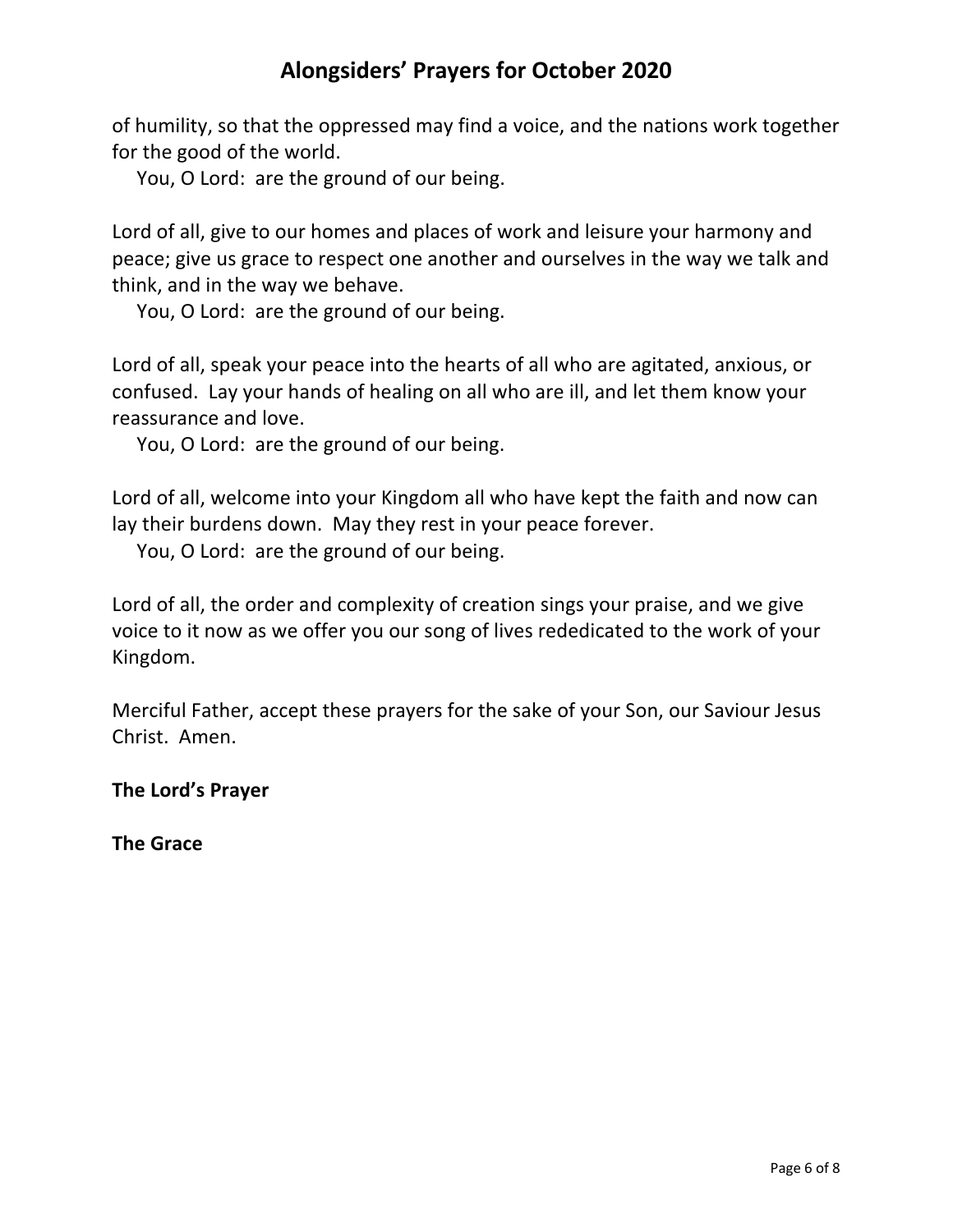of humility, so that the oppressed may find a voice, and the nations work together for the good of the world.

You, O Lord: are the ground of our being.

Lord of all, give to our homes and places of work and leisure your harmony and peace; give us grace to respect one another and ourselves in the way we talk and think, and in the way we behave.

You, O Lord: are the ground of our being.

Lord of all, speak your peace into the hearts of all who are agitated, anxious, or confused. Lay your hands of healing on all who are ill, and let them know your reassurance and love.

You, O Lord: are the ground of our being.

Lord of all, welcome into your Kingdom all who have kept the faith and now can lay their burdens down. May they rest in your peace forever.

You, O Lord: are the ground of our being.

Lord of all, the order and complexity of creation sings your praise, and we give voice to it now as we offer you our song of lives rededicated to the work of your Kingdom.

Merciful Father, accept these prayers for the sake of your Son, our Saviour Jesus Christ. Amen.

**The Lord's Prayer**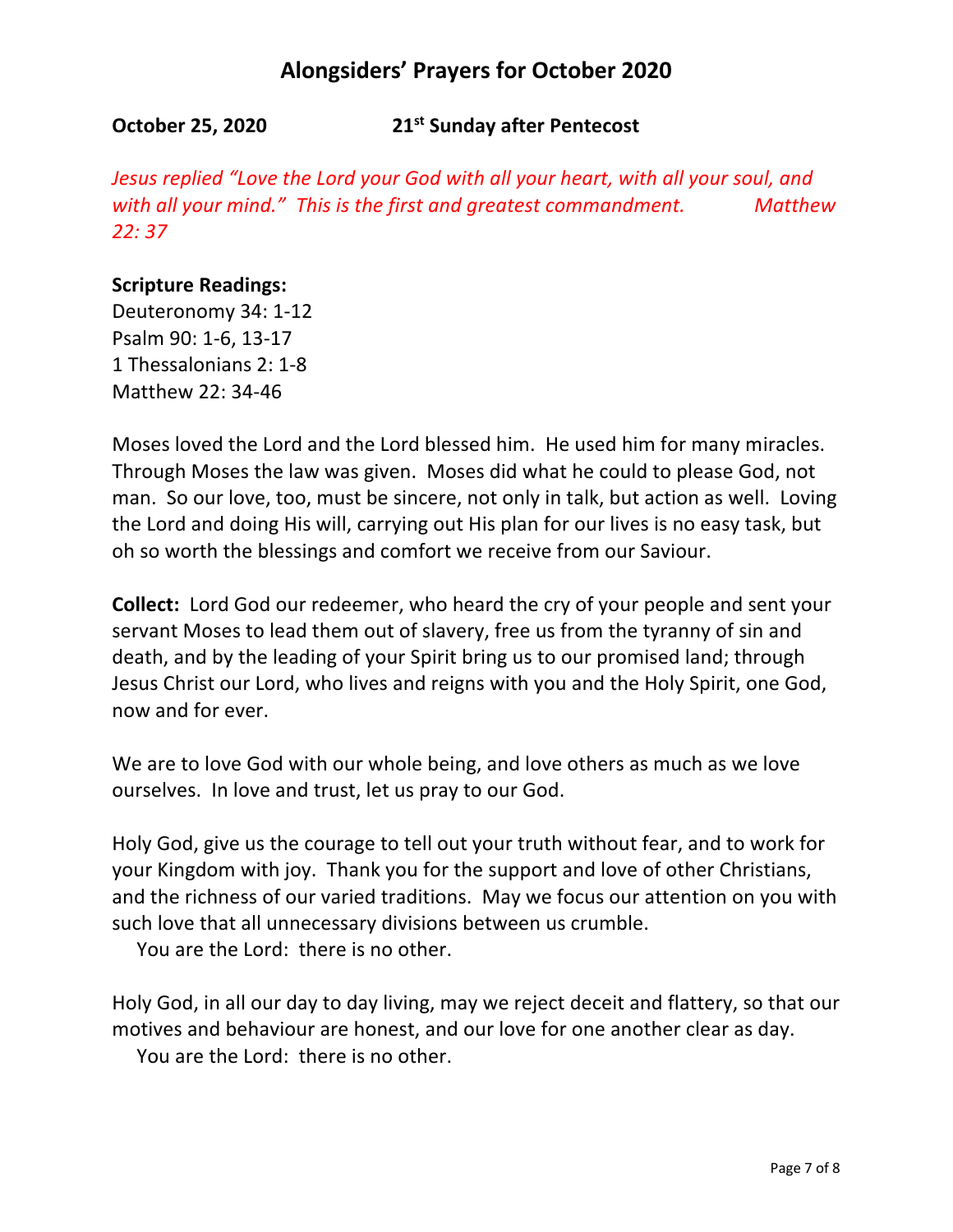**October 25, 2020 21st Sunday after Pentecost**

*Jesus replied "Love the Lord your God with all your heart, with all your soul, and with all your mind." This is the first and greatest commandment. Matthew 22: 37*

## **Scripture Readings:**

Deuteronomy 34: 1-12 Psalm 90: 1-6, 13-17 1 Thessalonians 2: 1-8 Matthew 22: 34-46

Moses loved the Lord and the Lord blessed him. He used him for many miracles. Through Moses the law was given. Moses did what he could to please God, not man. So our love, too, must be sincere, not only in talk, but action as well. Loving the Lord and doing His will, carrying out His plan for our lives is no easy task, but oh so worth the blessings and comfort we receive from our Saviour.

**Collect:** Lord God our redeemer, who heard the cry of your people and sent your servant Moses to lead them out of slavery, free us from the tyranny of sin and death, and by the leading of your Spirit bring us to our promised land; through Jesus Christ our Lord, who lives and reigns with you and the Holy Spirit, one God, now and for ever.

We are to love God with our whole being, and love others as much as we love ourselves. In love and trust, let us pray to our God.

Holy God, give us the courage to tell out your truth without fear, and to work for your Kingdom with joy. Thank you for the support and love of other Christians, and the richness of our varied traditions. May we focus our attention on you with such love that all unnecessary divisions between us crumble.

You are the Lord: there is no other.

Holy God, in all our day to day living, may we reject deceit and flattery, so that our motives and behaviour are honest, and our love for one another clear as day.

You are the Lord: there is no other.